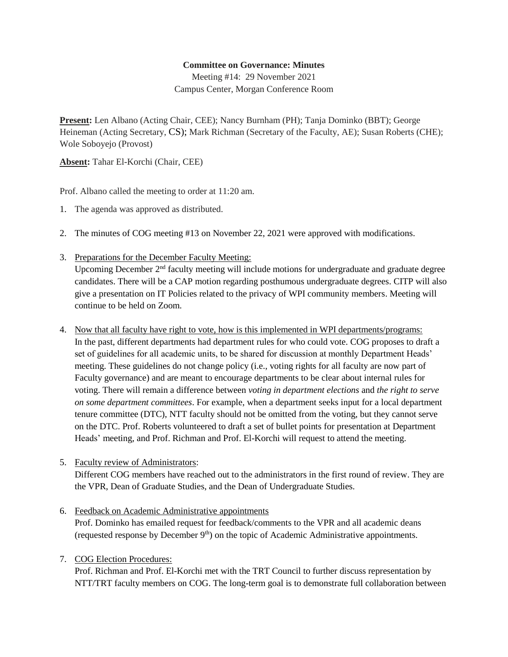## **Committee on Governance: Minutes**

Meeting #14: 29 November 2021 Campus Center, Morgan Conference Room

**Present:** Len Albano (Acting Chair, CEE); Nancy Burnham (PH); Tanja Dominko (BBT); George Heineman (Acting Secretary, CS); Mark Richman (Secretary of the Faculty, AE); Susan Roberts (CHE); Wole Soboyejo (Provost)

**Absent:** Tahar El-Korchi (Chair, CEE)

Prof. Albano called the meeting to order at 11:20 am.

- 1. The agenda was approved as distributed.
- 2. The minutes of COG meeting #13 on November 22, 2021 were approved with modifications.
- 3. Preparations for the December Faculty Meeting:

Upcoming December 2<sup>nd</sup> faculty meeting will include motions for undergraduate and graduate degree candidates. There will be a CAP motion regarding posthumous undergraduate degrees. CITP will also give a presentation on IT Policies related to the privacy of WPI community members. Meeting will continue to be held on Zoom.

- 4. Now that all faculty have right to vote, how is this implemented in WPI departments/programs: In the past, different departments had department rules for who could vote. COG proposes to draft a set of guidelines for all academic units, to be shared for discussion at monthly Department Heads' meeting. These guidelines do not change policy (i.e., voting rights for all faculty are now part of Faculty governance) and are meant to encourage departments to be clear about internal rules for voting. There will remain a difference between *voting in department elections* and *the right to serve on some department committees*. For example, when a department seeks input for a local department tenure committee (DTC), NTT faculty should not be omitted from the voting, but they cannot serve on the DTC. Prof. Roberts volunteered to draft a set of bullet points for presentation at Department Heads' meeting, and Prof. Richman and Prof. El-Korchi will request to attend the meeting.
- 5. Faculty review of Administrators:

Different COG members have reached out to the administrators in the first round of review. They are the VPR, Dean of Graduate Studies, and the Dean of Undergraduate Studies.

- 6. Feedback on Academic Administrative appointments Prof. Dominko has emailed request for feedback/comments to the VPR and all academic deans (requested response by December  $9<sup>th</sup>$ ) on the topic of Academic Administrative appointments.
- 7. COG Election Procedures:

Prof. Richman and Prof. El-Korchi met with the TRT Council to further discuss representation by NTT/TRT faculty members on COG. The long-term goal is to demonstrate full collaboration between